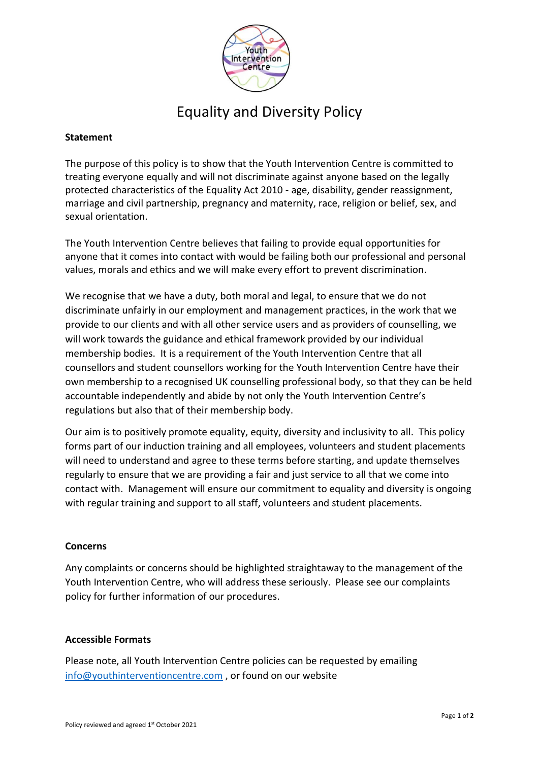

# Equality and Diversity Policy

## **Statement**

The purpose of this policy is to show that the Youth Intervention Centre is committed to treating everyone equally and will not discriminate against anyone based on the legally protected characteristics of the Equality Act 2010 - age, disability, gender reassignment, marriage and civil partnership, pregnancy and maternity, race, religion or belief, sex, and sexual orientation.

The Youth Intervention Centre believes that failing to provide equal opportunities for anyone that it comes into contact with would be failing both our professional and personal values, morals and ethics and we will make every effort to prevent discrimination.

We recognise that we have a duty, both moral and legal, to ensure that we do not discriminate unfairly in our employment and management practices, in the work that we provide to our clients and with all other service users and as providers of counselling, we will work towards the guidance and ethical framework provided by our individual membership bodies. It is a requirement of the Youth Intervention Centre that all counsellors and student counsellors working for the Youth Intervention Centre have their own membership to a recognised UK counselling professional body, so that they can be held accountable independently and abide by not only the Youth Intervention Centre's regulations but also that of their membership body.

Our aim is to positively promote equality, equity, diversity and inclusivity to all. This policy forms part of our induction training and all employees, volunteers and student placements will need to understand and agree to these terms before starting, and update themselves regularly to ensure that we are providing a fair and just service to all that we come into contact with. Management will ensure our commitment to equality and diversity is ongoing with regular training and support to all staff, volunteers and student placements.

#### **Concerns**

Any complaints or concerns should be highlighted straightaway to the management of the Youth Intervention Centre, who will address these seriously. Please see our complaints policy for further information of our procedures.

#### **Accessible Formats**

Please note, all Youth Intervention Centre policies can be requested by emailing [info@youthinterventioncentre.com](mailto:info@youthinterventioncentre.com) , or found on our website